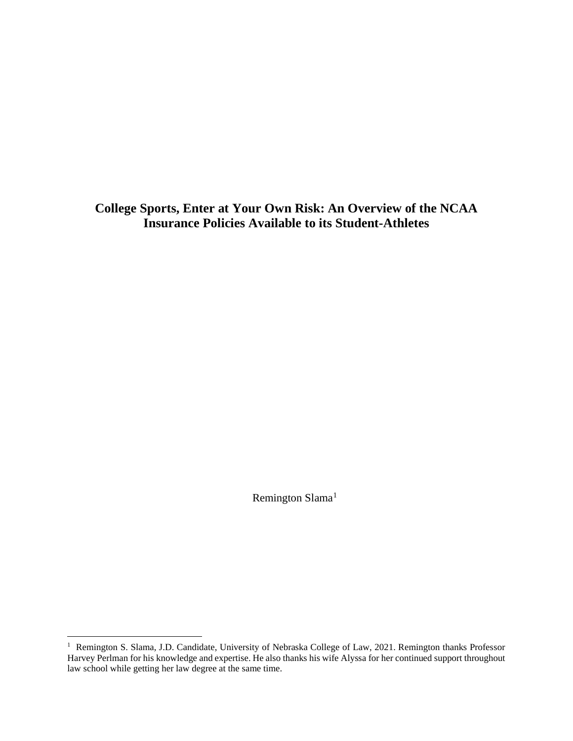**College Sports, Enter at Your Own Risk: An Overview of the NCAA Insurance Policies Available to its Student-Athletes**

Remington Slama<sup>1</sup>

<sup>&</sup>lt;sup>1</sup> Remington S. Slama, J.D. Candidate, University of Nebraska College of Law, 2021. Remington thanks Professor Harvey Perlman for his knowledge and expertise. He also thanks his wife Alyssa for her continued support throughout law school while getting her law degree at the same time.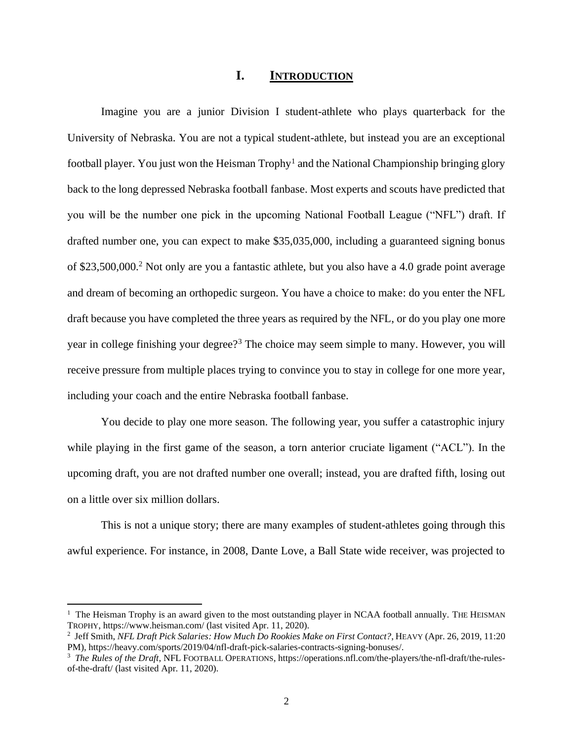#### **I. INTRODUCTION**

Imagine you are a junior Division I student-athlete who plays quarterback for the University of Nebraska. You are not a typical student-athlete, but instead you are an exceptional football player. You just won the Heisman Trophy<sup>1</sup> and the National Championship bringing glory back to the long depressed Nebraska football fanbase. Most experts and scouts have predicted that you will be the number one pick in the upcoming National Football League ("NFL") draft. If drafted number one, you can expect to make \$35,035,000, including a guaranteed signing bonus of \$23,500,000.<sup>2</sup> Not only are you a fantastic athlete, but you also have a 4.0 grade point average and dream of becoming an orthopedic surgeon. You have a choice to make: do you enter the NFL draft because you have completed the three years as required by the NFL, or do you play one more year in college finishing your degree?<sup>3</sup> The choice may seem simple to many. However, you will receive pressure from multiple places trying to convince you to stay in college for one more year, including your coach and the entire Nebraska football fanbase.

You decide to play one more season. The following year, you suffer a catastrophic injury while playing in the first game of the season, a torn anterior cruciate ligament ("ACL"). In the upcoming draft, you are not drafted number one overall; instead, you are drafted fifth, losing out on a little over six million dollars.

This is not a unique story; there are many examples of student-athletes going through this awful experience. For instance, in 2008, Dante Love, a Ball State wide receiver, was projected to

<sup>&</sup>lt;sup>1</sup> The Heisman Trophy is an award given to the most outstanding player in NCAA football annually. THE HEISMAN TROPHY, https://www.heisman.com/ (last visited Apr. 11, 2020).

<sup>2</sup> Jeff Smith, *NFL Draft Pick Salaries: How Much Do Rookies Make on First Contact?*, HEAVY (Apr. 26, 2019, 11:20 PM), https://heavy.com/sports/2019/04/nfl-draft-pick-salaries-contracts-signing-bonuses/.

<sup>&</sup>lt;sup>3</sup> The Rules of the Draft, NFL FOOTBALL OPERATIONS, https://operations.nfl.com/the-players/the-nfl-draft/the-rulesof-the-draft/ (last visited Apr. 11, 2020).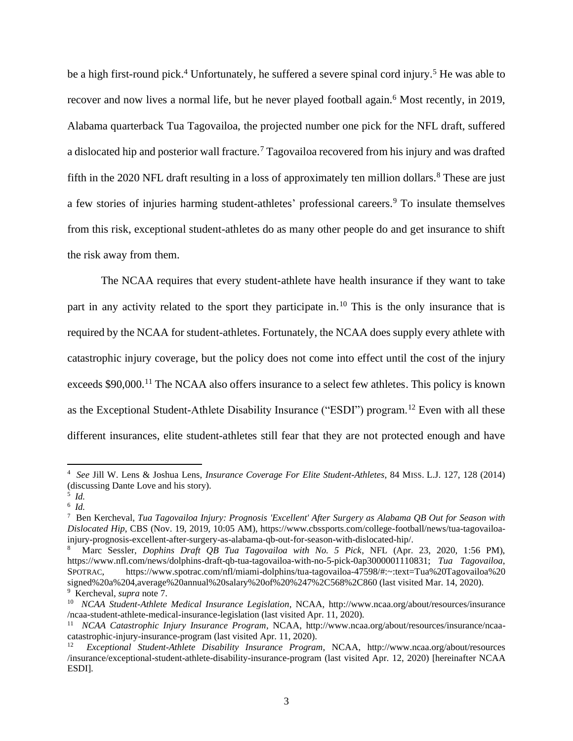be a high first-round pick.<sup>4</sup> Unfortunately, he suffered a severe spinal cord injury.<sup>5</sup> He was able to recover and now lives a normal life, but he never played football again.<sup>6</sup> Most recently, in 2019, Alabama quarterback Tua Tagovailoa, the projected number one pick for the NFL draft, suffered a dislocated hip and posterior wall fracture.<sup>7</sup> Tagovailoa recovered from his injury and was drafted fifth in the 2020 NFL draft resulting in a loss of approximately ten million dollars.<sup>8</sup> These are just a few stories of injuries harming student-athletes' professional careers.<sup>9</sup> To insulate themselves from this risk, exceptional student-athletes do as many other people do and get insurance to shift the risk away from them.

The NCAA requires that every student-athlete have health insurance if they want to take part in any activity related to the sport they participate in.<sup>10</sup> This is the only insurance that is required by the NCAA for student-athletes. Fortunately, the NCAA does supply every athlete with catastrophic injury coverage, but the policy does not come into effect until the cost of the injury exceeds \$90,000.<sup>11</sup> The NCAA also offers insurance to a select few athletes. This policy is known as the Exceptional Student-Athlete Disability Insurance ("ESDI") program.<sup>12</sup> Even with all these different insurances, elite student-athletes still fear that they are not protected enough and have

<sup>4</sup> *See* Jill W. Lens & Joshua Lens, *Insurance Coverage For Elite Student-Athletes*, 84 MISS. L.J. 127, 128 (2014) (discussing Dante Love and his story).

<sup>5</sup> *Id.*

<sup>6</sup> *Id.*  7 Ben Kercheval, *Tua Tagovailoa Injury: Prognosis 'Excellent' After Surgery as Alabama QB Out for Season with Dislocated Hip*, CBS (Nov. 19, 2019, 10:05 AM), https://www.cbssports.com/college-football/news/tua-tagovailoainjury-prognosis-excellent-after-surgery-as-alabama-qb-out-for-season-with-dislocated-hip/.

<sup>8</sup> Marc Sessler, *Dophins Draft QB Tua Tagovailoa with No. 5 Pick*, NFL (Apr. 23, 2020, 1:56 PM), https://www.nfl.com/news/dolphins-draft-qb-tua-tagovailoa-with-no-5-pick-0ap3000001110831; *Tua Tagovailoa*, SPOTRAC, https://www.spotrac.com/nfl/miami-dolphins/tua-tagovailoa-47598/#:~:text=Tua%20Tagovailoa%20 signed%20a%204,average%20annual%20salary%20of%20%247%2C568%2C860 (last visited Mar. 14, 2020). <sup>9</sup> Kercheval, *supra* note 7.

<sup>10</sup> *NCAA Student-Athlete Medical Insurance Legislation*, NCAA, http://www.ncaa.org/about/resources/insurance /ncaa-student-athlete-medical-insurance-legislation (last visited Apr. 11, 2020).

<sup>11</sup> *NCAA Catastrophic Injury Insurance Program*, NCAA, http://www.ncaa.org/about/resources/insurance/ncaacatastrophic-injury-insurance-program (last visited Apr. 11, 2020).

<sup>12</sup> *Exceptional Student-Athlete Disability Insurance Program*, NCAA, http://www.ncaa.org/about/resources /insurance/exceptional-student-athlete-disability-insurance-program (last visited Apr. 12, 2020) [hereinafter NCAA ESDI].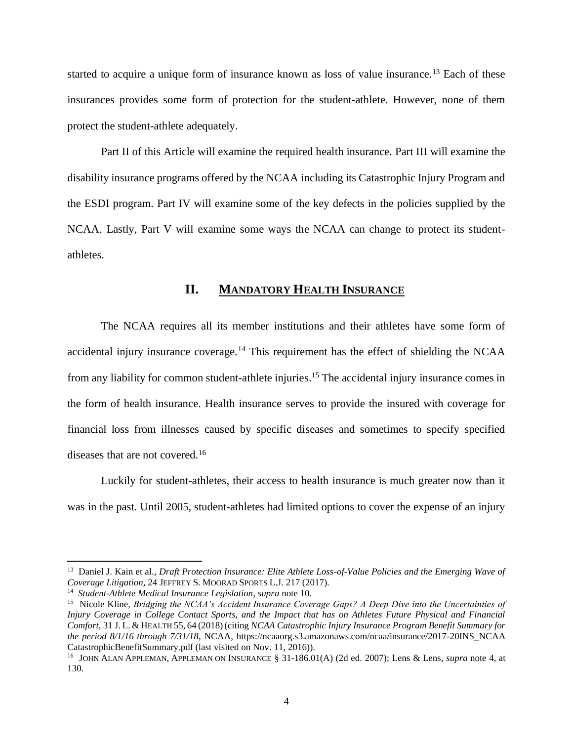started to acquire a unique form of insurance known as loss of value insurance.<sup>13</sup> Each of these insurances provides some form of protection for the student-athlete. However, none of them protect the student-athlete adequately.

Part II of this Article will examine the required health insurance. Part III will examine the disability insurance programs offered by the NCAA including its Catastrophic Injury Program and the ESDI program. Part IV will examine some of the key defects in the policies supplied by the NCAA. Lastly, Part V will examine some ways the NCAA can change to protect its studentathletes.

#### **II. MANDATORY HEALTH INSURANCE**

The NCAA requires all its member institutions and their athletes have some form of accidental injury insurance coverage.<sup>14</sup> This requirement has the effect of shielding the NCAA from any liability for common student-athlete injuries.<sup>15</sup> The accidental injury insurance comes in the form of health insurance. Health insurance serves to provide the insured with coverage for financial loss from illnesses caused by specific diseases and sometimes to specify specified diseases that are not covered.<sup>16</sup>

Luckily for student-athletes, their access to health insurance is much greater now than it was in the past. Until 2005, student-athletes had limited options to cover the expense of an injury

<sup>&</sup>lt;sup>13</sup> Daniel J. Kain et al., *Draft Protection Insurance: Elite Athlete Loss-of-Value Policies and the Emerging Wave of Coverage Litigation*, 24 JEFFREY S. MOORAD SPORTS L.J. 217 (2017).

<sup>14</sup> *Student-Athlete Medical Insurance Legislation*, *supra* note 10.

<sup>&</sup>lt;sup>15</sup> Nicole Kline, *Bridging the NCAA's Accident Insurance Coverage Gaps? A Deep Dive into the Uncertainties of Injury Coverage in College Contact Sports, and the Impact that has on Athletes Future Physical and Financial Comfort*, 31 J. L. & HEALTH 55, 64 (2018) (citing *NCAA Catastrophic Injury Insurance Program Benefit Summary for the period 8/1/16 through 7/31/18*, NCAA, https://ncaaorg.s3.amazonaws.com/ncaa/insurance/2017-20INS\_NCAA CatastrophicBenefitSummary.pdf (last visited on Nov. 11, 2016)).

<sup>16</sup> JOHN ALAN APPLEMAN, APPLEMAN ON INSURANCE § 31-186.01(A) (2d ed. 2007); Lens & Lens, *supra* note 4, at 130.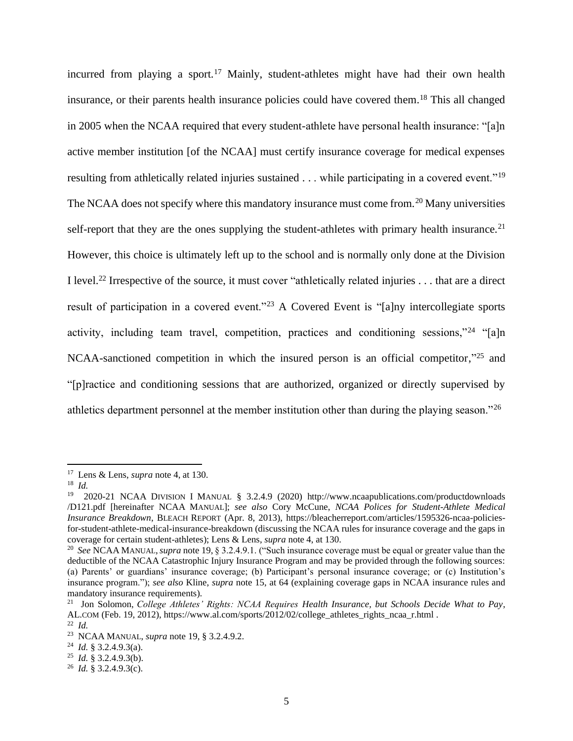incurred from playing a sport.<sup>17</sup> Mainly, student-athletes might have had their own health insurance, or their parents health insurance policies could have covered them. <sup>18</sup> This all changed in 2005 when the NCAA required that every student-athlete have personal health insurance: "[a]n active member institution [of the NCAA] must certify insurance coverage for medical expenses resulting from athletically related injuries sustained . . . while participating in a covered event."<sup>19</sup> The NCAA does not specify where this mandatory insurance must come from.<sup>20</sup> Many universities self-report that they are the ones supplying the student-athletes with primary health insurance.<sup>21</sup> However, this choice is ultimately left up to the school and is normally only done at the Division I level.<sup>22</sup> Irrespective of the source, it must cover "athletically related injuries . . . that are a direct result of participation in a covered event."<sup>23</sup> A Covered Event is "[a]ny intercollegiate sports activity, including team travel, competition, practices and conditioning sessions,"<sup>24</sup> "[a]n NCAA-sanctioned competition in which the insured person is an official competitor,"<sup>25</sup> and "[p]ractice and conditioning sessions that are authorized, organized or directly supervised by athletics department personnel at the member institution other than during the playing season."<sup>26</sup>

<sup>17</sup> Lens & Lens, *supra* note 4, at 130.

<sup>18</sup> *Id.*

<sup>&</sup>lt;sup>19</sup> 2020-21 NCAA DIVISION I MANUAL § 3.2.4.9 (2020) http://www.ncaapublications.com/productdownloads /D121.pdf [hereinafter NCAA MANUAL]; *see also* Cory McCune, *NCAA Polices for Student-Athlete Medical Insurance Breakdown*, BLEACH REPORT (Apr. 8, 2013), https://bleacherreport.com/articles/1595326-ncaa-policiesfor-student-athlete-medical-insurance-breakdown (discussing the NCAA rules for insurance coverage and the gaps in coverage for certain student-athletes); Lens & Lens, *supra* note 4, at 130.

<sup>20</sup> *See* NCAA MANUAL,*supra* note 19, § 3.2.4.9.1. ("Such insurance coverage must be equal or greater value than the deductible of the NCAA Catastrophic Injury Insurance Program and may be provided through the following sources: (a) Parents' or guardians' insurance coverage; (b) Participant's personal insurance coverage; or (c) Institution's insurance program."); *see also* Kline, *supra* note 15, at 64 (explaining coverage gaps in NCAA insurance rules and mandatory insurance requirements).

<sup>21</sup> Jon Solomon, *College Athletes' Rights: NCAA Requires Health Insurance, but Schools Decide What to Pay*, AL.COM (Feb. 19, 2012), https://www.al.com/sports/2012/02/college\_athletes\_rights\_ncaa\_r.html .

<sup>22</sup> *Id.*

<sup>23</sup> NCAA MANUAL, *supra* note 19, § 3.2.4.9.2.

<sup>24</sup> *Id.* § 3.2.4.9.3(a).

<sup>25</sup> *Id.* § 3.2.4.9.3(b).

<sup>26</sup> *Id.* § 3.2.4.9.3(c).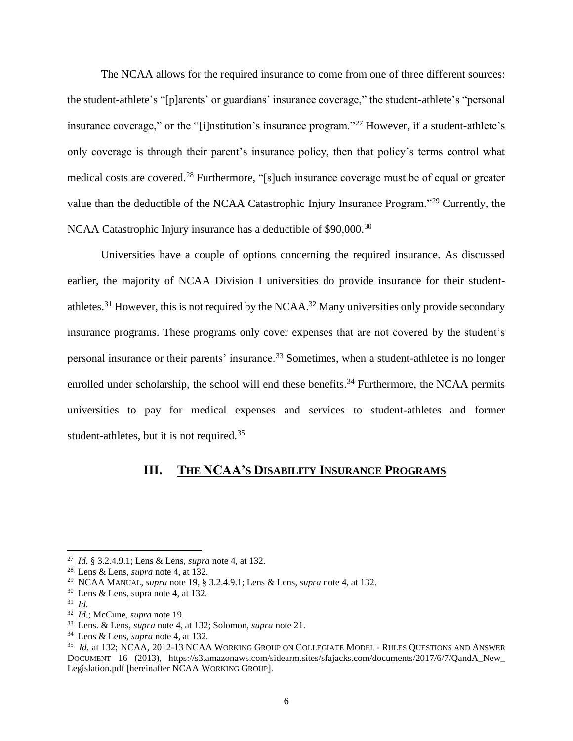The NCAA allows for the required insurance to come from one of three different sources: the student-athlete's "[p]arents' or guardians' insurance coverage," the student-athlete's "personal insurance coverage," or the "[i]nstitution's insurance program."<sup>27</sup> However, if a student-athlete's only coverage is through their parent's insurance policy, then that policy's terms control what medical costs are covered.<sup>28</sup> Furthermore, "[s]uch insurance coverage must be of equal or greater value than the deductible of the NCAA Catastrophic Injury Insurance Program."<sup>29</sup> Currently, the NCAA Catastrophic Injury insurance has a deductible of \$90,000.<sup>30</sup>

Universities have a couple of options concerning the required insurance. As discussed earlier, the majority of NCAA Division I universities do provide insurance for their studentathletes.<sup>31</sup> However, this is not required by the NCAA.<sup>32</sup> Many universities only provide secondary insurance programs. These programs only cover expenses that are not covered by the student's personal insurance or their parents' insurance.<sup>33</sup> Sometimes, when a student-athletee is no longer enrolled under scholarship, the school will end these benefits.<sup>34</sup> Furthermore, the NCAA permits universities to pay for medical expenses and services to student-athletes and former student-athletes, but it is not required.<sup>35</sup>

## **III. THE NCAA'S DISABILITY INSURANCE PROGRAMS**

<sup>27</sup> *Id.* § 3.2.4.9.1; Lens & Lens, *supra* note 4, at 132.

<sup>28</sup> Lens & Lens, *supra* note 4, at 132.

<sup>29</sup> NCAA MANUAL, *supra* note 19, § 3.2.4.9.1; Lens & Lens, *supra* note 4, at 132.

<sup>30</sup> Lens & Lens*,* supra note 4, at 132.

<sup>31</sup> *Id.*

<sup>32</sup> *Id.*; McCune, *supra* note 19.

<sup>33</sup> Lens. & Lens, *supra* note 4, at 132; Solomon, *supra* note 21.

<sup>34</sup> Lens & Lens, *supra* note 4, at 132.

<sup>35</sup> *Id.* at 132; NCAA, 2012-13 NCAA WORKING GROUP ON COLLEGIATE MODEL - RULES QUESTIONS AND ANSWER DOCUMENT 16 (2013), https://s3.amazonaws.com/sidearm.sites/sfajacks.com/documents/2017/6/7/QandA\_New\_ Legislation.pdf [hereinafter NCAA WORKING GROUP].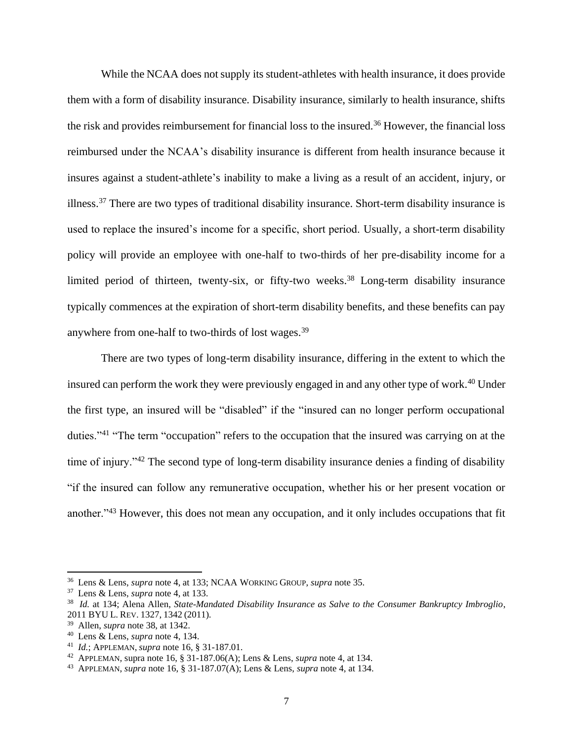While the NCAA does not supply its student-athletes with health insurance, it does provide them with a form of disability insurance. Disability insurance, similarly to health insurance, shifts the risk and provides reimbursement for financial loss to the insured.<sup>36</sup> However, the financial loss reimbursed under the NCAA's disability insurance is different from health insurance because it insures against a student-athlete's inability to make a living as a result of an accident, injury, or illness.<sup>37</sup> There are two types of traditional disability insurance. Short-term disability insurance is used to replace the insured's income for a specific, short period. Usually, a short-term disability policy will provide an employee with one-half to two-thirds of her pre-disability income for a limited period of thirteen, twenty-six, or fifty-two weeks.<sup>38</sup> Long-term disability insurance typically commences at the expiration of short-term disability benefits, and these benefits can pay anywhere from one-half to two-thirds of lost wages.<sup>39</sup>

There are two types of long-term disability insurance, differing in the extent to which the insured can perform the work they were previously engaged in and any other type of work.<sup>40</sup> Under the first type, an insured will be "disabled" if the "insured can no longer perform occupational duties."<sup>41</sup> "The term "occupation" refers to the occupation that the insured was carrying on at the time of injury."<sup>42</sup> The second type of long-term disability insurance denies a finding of disability "if the insured can follow any remunerative occupation, whether his or her present vocation or another."<sup>43</sup> However, this does not mean any occupation, and it only includes occupations that fit

<sup>36</sup> Lens & Lens, *supra* note 4, at 133; NCAA WORKING GROUP, *supra* note 35.

<sup>37</sup> Lens & Lens, *supra* note 4, at 133.

<sup>38</sup> *Id.* at 134; Alena Allen, *State-Mandated Disability Insurance as Salve to the Consumer Bankruptcy Imbroglio*, 2011 BYU L. REV. 1327, 1342 (2011).

<sup>39</sup> Allen, *supra* note 38, at 1342.

<sup>40</sup> Lens & Lens, *supra* note 4, 134.

<sup>41</sup> *Id.*; APPLEMAN, *supra* note 16, § 31-187.01.

<sup>42</sup> APPLEMAN*,* supra note 16, § 31-187.06(A); Lens & Lens, *supra* note 4, at 134.

<sup>43</sup> APPLEMAN, *supra* note 16, § 31-187.07(A); Lens & Lens, *supra* note 4, at 134.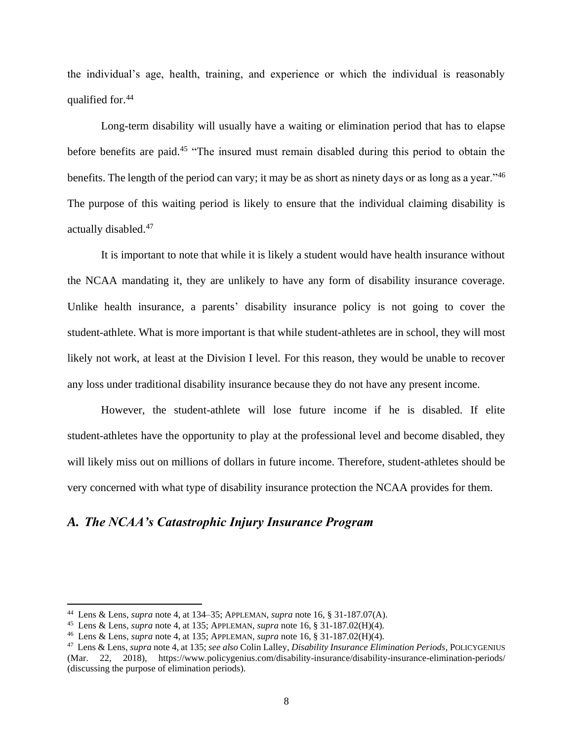the individual's age, health, training, and experience or which the individual is reasonably qualified for.<sup>44</sup>

Long-term disability will usually have a waiting or elimination period that has to elapse before benefits are paid.<sup>45</sup> "The insured must remain disabled during this period to obtain the benefits. The length of the period can vary; it may be as short as ninety days or as long as a year."<sup>46</sup> The purpose of this waiting period is likely to ensure that the individual claiming disability is actually disabled.<sup>47</sup>

It is important to note that while it is likely a student would have health insurance without the NCAA mandating it, they are unlikely to have any form of disability insurance coverage. Unlike health insurance, a parents' disability insurance policy is not going to cover the student-athlete. What is more important is that while student-athletes are in school, they will most likely not work, at least at the Division I level. For this reason, they would be unable to recover any loss under traditional disability insurance because they do not have any present income.

However, the student-athlete will lose future income if he is disabled. If elite student-athletes have the opportunity to play at the professional level and become disabled, they will likely miss out on millions of dollars in future income. Therefore, student-athletes should be very concerned with what type of disability insurance protection the NCAA provides for them.

#### *A. The NCAA's Catastrophic Injury Insurance Program*

<sup>44</sup> Lens & Lens, *supra* note 4, at 134–35; APPLEMAN, *supra* note 16, § 31-187.07(A).

<sup>45</sup> Lens & Lens, *supra* note 4, at 135; APPLEMAN, *supra* note 16, § 31-187.02(H)(4).

<sup>46</sup> Lens & Lens, *supra* note 4, at 135; APPLEMAN, *supra* note 16, § 31-187.02(H)(4).

<sup>47</sup> Lens & Lens, *supra* note 4, at 135; *see also* Colin Lalley, *Disability Insurance Elimination Periods*, POLICYGENIUS (Mar. 22, 2018), https://www.policygenius.com/disability-insurance/disability-insurance-elimination-periods/ (discussing the purpose of elimination periods).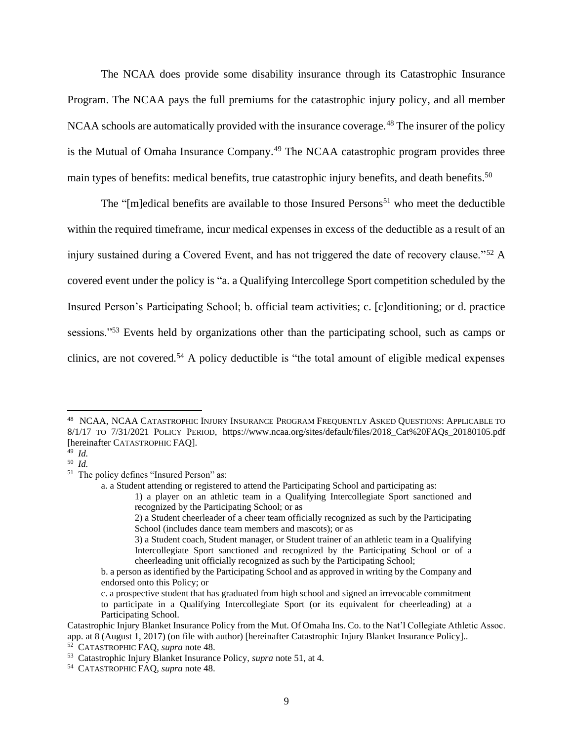The NCAA does provide some disability insurance through its Catastrophic Insurance Program. The NCAA pays the full premiums for the catastrophic injury policy, and all member NCAA schools are automatically provided with the insurance coverage.<sup>48</sup> The insurer of the policy is the Mutual of Omaha Insurance Company.<sup>49</sup> The NCAA catastrophic program provides three main types of benefits: medical benefits, true catastrophic injury benefits, and death benefits.<sup>50</sup>

The " $[m]$ edical benefits are available to those Insured Persons<sup>51</sup> who meet the deductible within the required timeframe, incur medical expenses in excess of the deductible as a result of an injury sustained during a Covered Event, and has not triggered the date of recovery clause."<sup>52</sup> A covered event under the policy is "a. a Qualifying Intercollege Sport competition scheduled by the Insured Person's Participating School; b. official team activities; c. [c]onditioning; or d. practice sessions."<sup>53</sup> Events held by organizations other than the participating school, such as camps or clinics, are not covered.<sup>54</sup> A policy deductible is "the total amount of eligible medical expenses"

49 *Id.*

<sup>48</sup> NCAA, NCAA CATASTROPHIC INJURY INSURANCE PROGRAM FREQUENTLY ASKED QUESTIONS: APPLICABLE TO 8/1/17 TO 7/31/2021 POLICY PERIOD, https://www.ncaa.org/sites/default/files/2018\_Cat%20FAQs\_20180105.pdf [hereinafter CATASTROPHIC FAQ].

<sup>50</sup> *Id.*

<sup>&</sup>lt;sup>51</sup> The policy defines "Insured Person" as:

a. a Student attending or registered to attend the Participating School and participating as:

<sup>1)</sup> a player on an athletic team in a Qualifying Intercollegiate Sport sanctioned and recognized by the Participating School; or as

<sup>2)</sup> a Student cheerleader of a cheer team officially recognized as such by the Participating School (includes dance team members and mascots); or as

<sup>3)</sup> a Student coach, Student manager, or Student trainer of an athletic team in a Qualifying Intercollegiate Sport sanctioned and recognized by the Participating School or of a cheerleading unit officially recognized as such by the Participating School;

b. a person as identified by the Participating School and as approved in writing by the Company and endorsed onto this Policy; or

c. a prospective student that has graduated from high school and signed an irrevocable commitment to participate in a Qualifying Intercollegiate Sport (or its equivalent for cheerleading) at a Participating School.

Catastrophic Injury Blanket Insurance Policy from the Mut. Of Omaha Ins. Co. to the Nat'l Collegiate Athletic Assoc. app. at 8 (August 1, 2017) (on file with author) [hereinafter Catastrophic Injury Blanket Insurance Policy]..

<sup>52</sup> CATASTROPHIC FAQ, *supra* note 48.

<sup>53</sup> Catastrophic Injury Blanket Insurance Policy, *supra* note 51, at 4.

<sup>54</sup> CATASTROPHIC FAQ, *supra* note 48.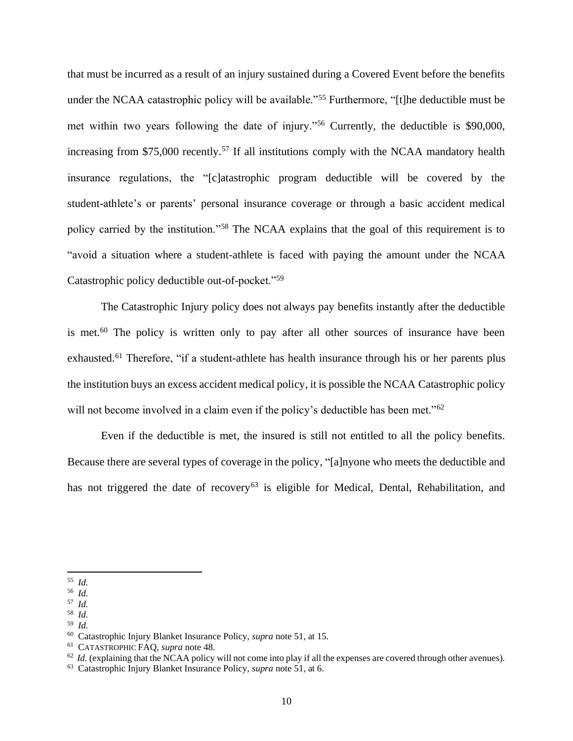that must be incurred as a result of an injury sustained during a Covered Event before the benefits under the NCAA catastrophic policy will be available."<sup>55</sup> Furthermore, "[t]he deductible must be met within two years following the date of injury."<sup>56</sup> Currently, the deductible is \$90,000, increasing from \$75,000 recently.<sup>57</sup> If all institutions comply with the NCAA mandatory health insurance regulations, the "[c]atastrophic program deductible will be covered by the student-athlete's or parents' personal insurance coverage or through a basic accident medical policy carried by the institution."<sup>58</sup> The NCAA explains that the goal of this requirement is to "avoid a situation where a student-athlete is faced with paying the amount under the NCAA Catastrophic policy deductible out-of-pocket."<sup>59</sup>

The Catastrophic Injury policy does not always pay benefits instantly after the deductible is met.<sup>60</sup> The policy is written only to pay after all other sources of insurance have been exhausted.<sup>61</sup> Therefore, "if a student-athlete has health insurance through his or her parents plus the institution buys an excess accident medical policy, it is possible the NCAA Catastrophic policy will not become involved in a claim even if the policy's deductible has been met."<sup>62</sup>

Even if the deductible is met, the insured is still not entitled to all the policy benefits. Because there are several types of coverage in the policy, "[a]nyone who meets the deductible and has not triggered the date of recovery<sup>63</sup> is eligible for Medical, Dental, Rehabilitation, and

58 *Id.* 

<sup>55</sup> *Id.* 

<sup>56</sup> *Id.*

<sup>57</sup> *Id.*

<sup>59</sup> *Id.*

<sup>60</sup> Catastrophic Injury Blanket Insurance Policy, *supra* note 51, at 15.

<sup>61</sup> CATASTROPHIC FAQ, *supra* note 48.

 $62$  *Id.* (explaining that the NCAA policy will not come into play if all the expenses are covered through other avenues).

<sup>63</sup> Catastrophic Injury Blanket Insurance Policy, *supra* note 51, at 6.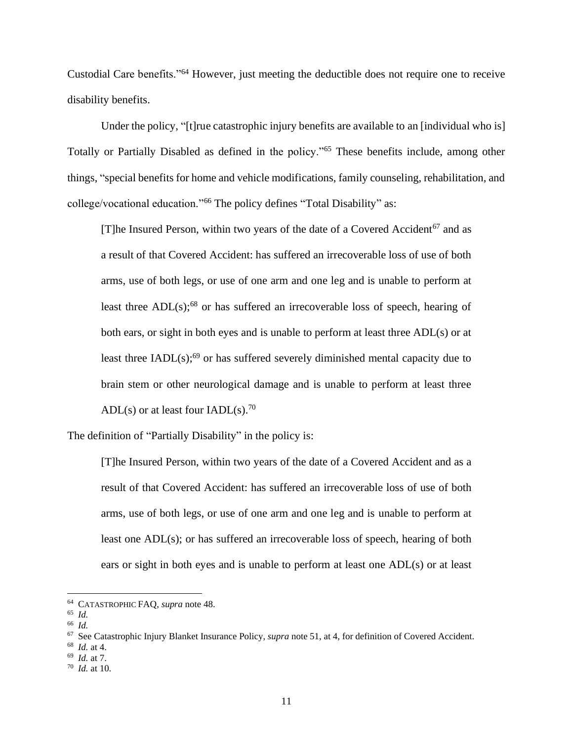Custodial Care benefits."<sup>64</sup> However, just meeting the deductible does not require one to receive disability benefits.

Under the policy, "[t]rue catastrophic injury benefits are available to an [individual who is] Totally or Partially Disabled as defined in the policy."<sup>65</sup> These benefits include, among other things, "special benefits for home and vehicle modifications, family counseling, rehabilitation, and college/vocational education."<sup>66</sup> The policy defines "Total Disability" as:

[T]he Insured Person, within two years of the date of a Covered Accident<sup>67</sup> and as a result of that Covered Accident: has suffered an irrecoverable loss of use of both arms, use of both legs, or use of one arm and one leg and is unable to perform at least three ADL(s);<sup>68</sup> or has suffered an irrecoverable loss of speech, hearing of both ears, or sight in both eyes and is unable to perform at least three ADL(s) or at least three  $IADL(s)$ ;<sup>69</sup> or has suffered severely diminished mental capacity due to brain stem or other neurological damage and is unable to perform at least three ADL(s) or at least four IADL(s).<sup>70</sup>

The definition of "Partially Disability" in the policy is:

[T]he Insured Person, within two years of the date of a Covered Accident and as a result of that Covered Accident: has suffered an irrecoverable loss of use of both arms, use of both legs, or use of one arm and one leg and is unable to perform at least one ADL(s); or has suffered an irrecoverable loss of speech, hearing of both ears or sight in both eyes and is unable to perform at least one ADL(s) or at least

69 *Id.* at 7.

<sup>64</sup> CATASTROPHIC FAQ, *supra* note 48.

<sup>65</sup> *Id.*

<sup>66</sup> *Id.* 

<sup>67</sup> See Catastrophic Injury Blanket Insurance Policy, *supra* note 51, at 4, for definition of Covered Accident.

<sup>68</sup> *Id.* at 4.

<sup>70</sup> *Id.* at 10.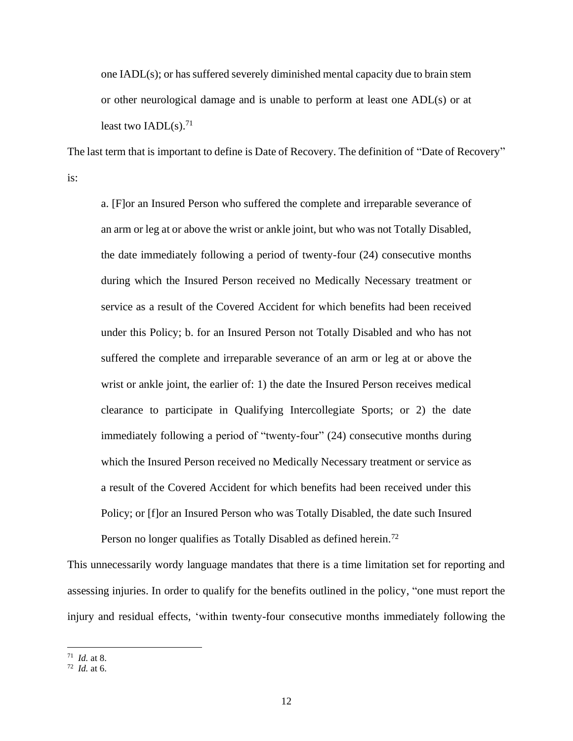one IADL(s); or has suffered severely diminished mental capacity due to brain stem or other neurological damage and is unable to perform at least one ADL(s) or at least two  $IADL(s)$ .<sup>71</sup>

The last term that is important to define is Date of Recovery. The definition of "Date of Recovery" is:

a. [F]or an Insured Person who suffered the complete and irreparable severance of an arm or leg at or above the wrist or ankle joint, but who was not Totally Disabled, the date immediately following a period of twenty-four (24) consecutive months during which the Insured Person received no Medically Necessary treatment or service as a result of the Covered Accident for which benefits had been received under this Policy; b. for an Insured Person not Totally Disabled and who has not suffered the complete and irreparable severance of an arm or leg at or above the wrist or ankle joint, the earlier of: 1) the date the Insured Person receives medical clearance to participate in Qualifying Intercollegiate Sports; or 2) the date immediately following a period of "twenty-four" (24) consecutive months during which the Insured Person received no Medically Necessary treatment or service as a result of the Covered Accident for which benefits had been received under this Policy; or [f]or an Insured Person who was Totally Disabled, the date such Insured Person no longer qualifies as Totally Disabled as defined herein.<sup>72</sup>

This unnecessarily wordy language mandates that there is a time limitation set for reporting and assessing injuries. In order to qualify for the benefits outlined in the policy, "one must report the injury and residual effects, 'within twenty-four consecutive months immediately following the

<sup>71</sup> *Id.* at 8.

<sup>72</sup> *Id.* at 6.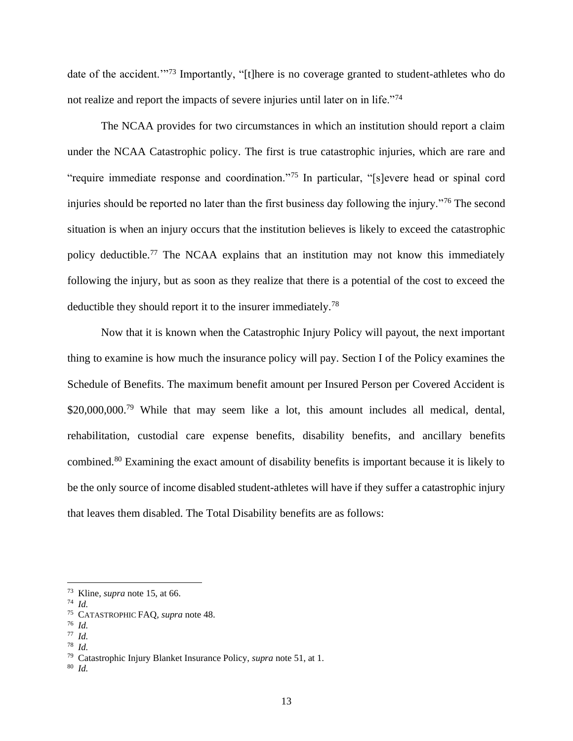date of the accident."<sup>73</sup> Importantly, "[t]here is no coverage granted to student-athletes who do not realize and report the impacts of severe injuries until later on in life."<sup>74</sup>

The NCAA provides for two circumstances in which an institution should report a claim under the NCAA Catastrophic policy. The first is true catastrophic injuries, which are rare and "require immediate response and coordination."<sup>75</sup> In particular, "[s]evere head or spinal cord injuries should be reported no later than the first business day following the injury."<sup>76</sup> The second situation is when an injury occurs that the institution believes is likely to exceed the catastrophic policy deductible.<sup>77</sup> The NCAA explains that an institution may not know this immediately following the injury, but as soon as they realize that there is a potential of the cost to exceed the deductible they should report it to the insurer immediately.<sup>78</sup>

Now that it is known when the Catastrophic Injury Policy will payout, the next important thing to examine is how much the insurance policy will pay. Section I of the Policy examines the Schedule of Benefits. The maximum benefit amount per Insured Person per Covered Accident is \$20,000,000.<sup>79</sup> While that may seem like a lot, this amount includes all medical, dental, rehabilitation, custodial care expense benefits, disability benefits, and ancillary benefits combined.<sup>80</sup> Examining the exact amount of disability benefits is important because it is likely to be the only source of income disabled student-athletes will have if they suffer a catastrophic injury that leaves them disabled. The Total Disability benefits are as follows:

78 *Id.*

<sup>73</sup> Kline, *supra* note 15, at 66.

<sup>74</sup> *Id.*

<sup>75</sup> CATASTROPHIC FAQ, *supra* note 48.

<sup>76</sup> *Id.*

<sup>77</sup> *Id.*

<sup>79</sup> Catastrophic Injury Blanket Insurance Policy, *supra* note 51, at 1.

<sup>80</sup> *Id.*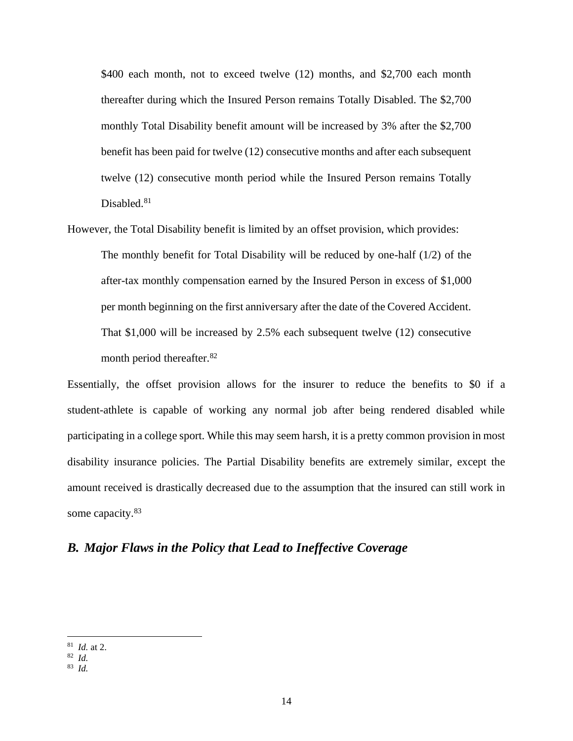\$400 each month, not to exceed twelve (12) months, and \$2,700 each month thereafter during which the Insured Person remains Totally Disabled. The \$2,700 monthly Total Disability benefit amount will be increased by 3% after the \$2,700 benefit has been paid for twelve (12) consecutive months and after each subsequent twelve (12) consecutive month period while the Insured Person remains Totally Disabled.<sup>81</sup>

However, the Total Disability benefit is limited by an offset provision, which provides: The monthly benefit for Total Disability will be reduced by one-half  $(1/2)$  of the after-tax monthly compensation earned by the Insured Person in excess of \$1,000 per month beginning on the first anniversary after the date of the Covered Accident. That \$1,000 will be increased by 2.5% each subsequent twelve (12) consecutive month period thereafter.<sup>82</sup>

Essentially, the offset provision allows for the insurer to reduce the benefits to \$0 if a student-athlete is capable of working any normal job after being rendered disabled while participating in a college sport. While this may seem harsh, it is a pretty common provision in most disability insurance policies. The Partial Disability benefits are extremely similar, except the amount received is drastically decreased due to the assumption that the insured can still work in some capacity.<sup>83</sup>

### *B. Major Flaws in the Policy that Lead to Ineffective Coverage*

<sup>81</sup> *Id.* at 2.

<sup>82</sup> *Id.*

<sup>83</sup> *Id.*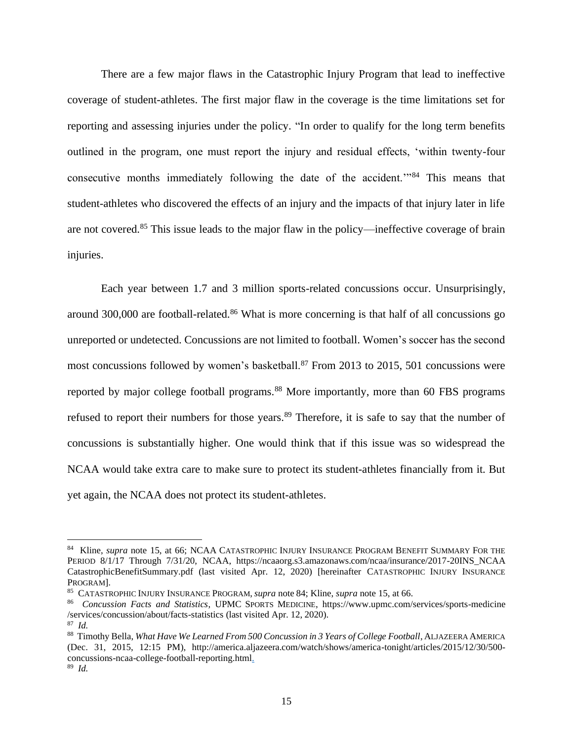There are a few major flaws in the Catastrophic Injury Program that lead to ineffective coverage of student-athletes. The first major flaw in the coverage is the time limitations set for reporting and assessing injuries under the policy. "In order to qualify for the long term benefits outlined in the program, one must report the injury and residual effects, 'within twenty-four consecutive months immediately following the date of the accident.'"<sup>84</sup> This means that student-athletes who discovered the effects of an injury and the impacts of that injury later in life are not covered.<sup>85</sup> This issue leads to the major flaw in the policy—ineffective coverage of brain injuries.

Each year between 1.7 and 3 million sports-related concussions occur. Unsurprisingly, around 300,000 are football-related.<sup>86</sup> What is more concerning is that half of all concussions go unreported or undetected. Concussions are not limited to football. Women's soccer has the second most concussions followed by women's basketball.<sup>87</sup> From 2013 to 2015, 501 concussions were reported by major college football programs.<sup>88</sup> More importantly, more than 60 FBS programs refused to report their numbers for those years.<sup>89</sup> Therefore, it is safe to say that the number of concussions is substantially higher. One would think that if this issue was so widespread the NCAA would take extra care to make sure to protect its student-athletes financially from it. But yet again, the NCAA does not protect its student-athletes.

<sup>84</sup> Kline, *supra* note 15, at 66; NCAA CATASTROPHIC INJURY INSURANCE PROGRAM BENEFIT SUMMARY FOR THE PERIOD 8/1/17 Through 7/31/20, NCAA, https://ncaaorg.s3.amazonaws.com/ncaa/insurance/2017-20INS NCAA CatastrophicBenefitSummary.pdf (last visited Apr. 12, 2020) [hereinafter CATASTROPHIC INJURY INSURANCE PROGRAM].

<sup>85</sup> CATASTROPHIC INJURY INSURANCE PROGRAM, *supra* note 84; Kline, *supra* note 15, at 66.

<sup>86</sup> *Concussion Facts and Statistics*, UPMC SPORTS MEDICINE, https://www.upmc.com/services/sports-medicine /services/concussion/about/facts-statistics (last visited Apr. 12, 2020).

<sup>87</sup> *Id.*

<sup>88</sup> Timothy Bella, *What Have We Learned From 500 Concussion in 3 Years of College Football*, ALJAZEERA AMERICA (Dec. 31, 2015, 12:15 PM), http://america.aljazeera.com/watch/shows/america-tonight/articles/2015/12/30/500 concussions-ncaa-college-football-reporting.html.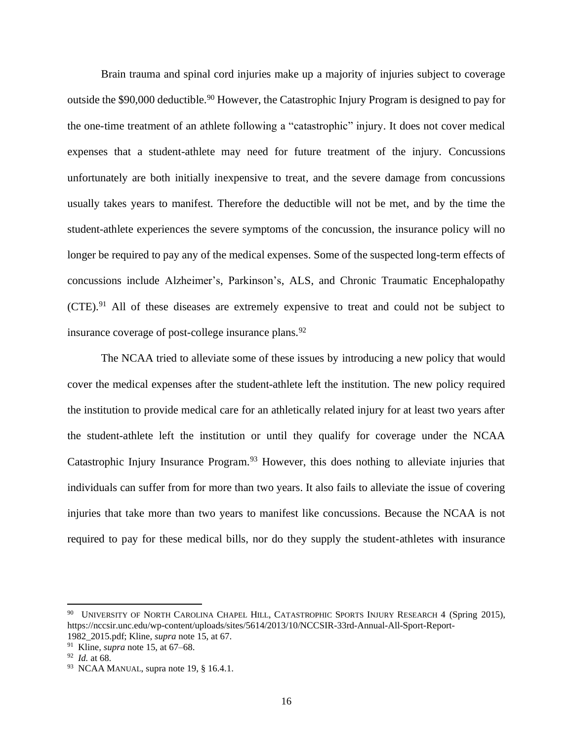Brain trauma and spinal cord injuries make up a majority of injuries subject to coverage outside the \$90,000 deductible.<sup>90</sup> However, the Catastrophic Injury Program is designed to pay for the one-time treatment of an athlete following a "catastrophic" injury. It does not cover medical expenses that a student-athlete may need for future treatment of the injury. Concussions unfortunately are both initially inexpensive to treat, and the severe damage from concussions usually takes years to manifest. Therefore the deductible will not be met, and by the time the student-athlete experiences the severe symptoms of the concussion, the insurance policy will no longer be required to pay any of the medical expenses. Some of the suspected long-term effects of concussions include Alzheimer's, Parkinson's, ALS, and Chronic Traumatic Encephalopathy  $(CTE).<sup>91</sup>$  All of these diseases are extremely expensive to treat and could not be subject to insurance coverage of post-college insurance plans.<sup>92</sup>

The NCAA tried to alleviate some of these issues by introducing a new policy that would cover the medical expenses after the student-athlete left the institution. The new policy required the institution to provide medical care for an athletically related injury for at least two years after the student-athlete left the institution or until they qualify for coverage under the NCAA Catastrophic Injury Insurance Program.<sup>93</sup> However, this does nothing to alleviate injuries that individuals can suffer from for more than two years. It also fails to alleviate the issue of covering injuries that take more than two years to manifest like concussions. Because the NCAA is not required to pay for these medical bills, nor do they supply the student-athletes with insurance

<sup>&</sup>lt;sup>90</sup> UNIVERSITY OF NORTH CAROLINA CHAPEL HILL, CATASTROPHIC SPORTS INJURY RESEARCH 4 (Spring 2015), https://nccsir.unc.edu/wp-content/uploads/sites/5614/2013/10/NCCSIR-33rd-Annual-All-Sport-Report-1982\_2015.pdf; Kline, *supra* note 15, at 67.

<sup>91</sup> Kline, *supra* note 15, at 67–68.

<sup>92</sup> *Id.* at 68.

 $93$  NCAA MANUAL, supra note 19, § 16.4.1.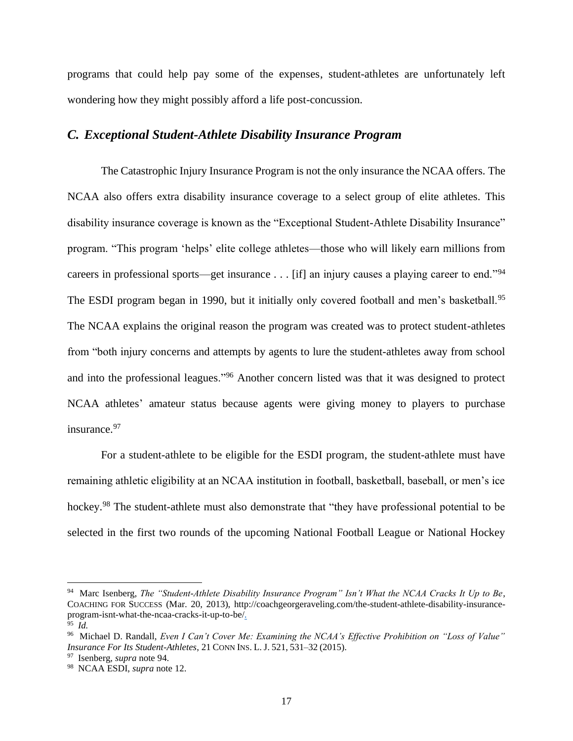programs that could help pay some of the expenses, student-athletes are unfortunately left wondering how they might possibly afford a life post-concussion.

#### *C. Exceptional Student-Athlete Disability Insurance Program*

The Catastrophic Injury Insurance Program is not the only insurance the NCAA offers. The NCAA also offers extra disability insurance coverage to a select group of elite athletes. This disability insurance coverage is known as the "Exceptional Student-Athlete Disability Insurance" program. "This program 'helps' elite college athletes—those who will likely earn millions from careers in professional sports—get insurance . . . [if] an injury causes a playing career to end."<sup>94</sup> The ESDI program began in 1990, but it initially only covered football and men's basketball.<sup>95</sup> The NCAA explains the original reason the program was created was to protect student-athletes from "both injury concerns and attempts by agents to lure the student-athletes away from school and into the professional leagues."<sup>96</sup> Another concern listed was that it was designed to protect NCAA athletes' amateur status because agents were giving money to players to purchase insurance.<sup>97</sup>

For a student-athlete to be eligible for the ESDI program, the student-athlete must have remaining athletic eligibility at an NCAA institution in football, basketball, baseball, or men's ice hockey.<sup>98</sup> The student-athlete must also demonstrate that "they have professional potential to be selected in the first two rounds of the upcoming National Football League or National Hockey

<sup>94</sup> Marc Isenberg, *The "Student-Athlete Disability Insurance Program" Isn't What the NCAA Cracks It Up to Be*, COACHING FOR SUCCESS (Mar. 20, 2013), http://coachgeorgeraveling.com/the-student-athlete-disability-insuranceprogram-isnt-what-the-ncaa-cracks-it-up-to-be/.

<sup>95</sup> *Id.*

<sup>96</sup> Michael D. Randall, *Even I Can't Cover Me: Examining the NCAA's Effective Prohibition on "Loss of Value" Insurance For Its Student-Athletes*, 21 CONN INS. L. J. 521, 531–32 (2015).

<sup>97</sup> Isenberg, *supra* note 94.

<sup>98</sup> NCAA ESDI, *supra* note 12.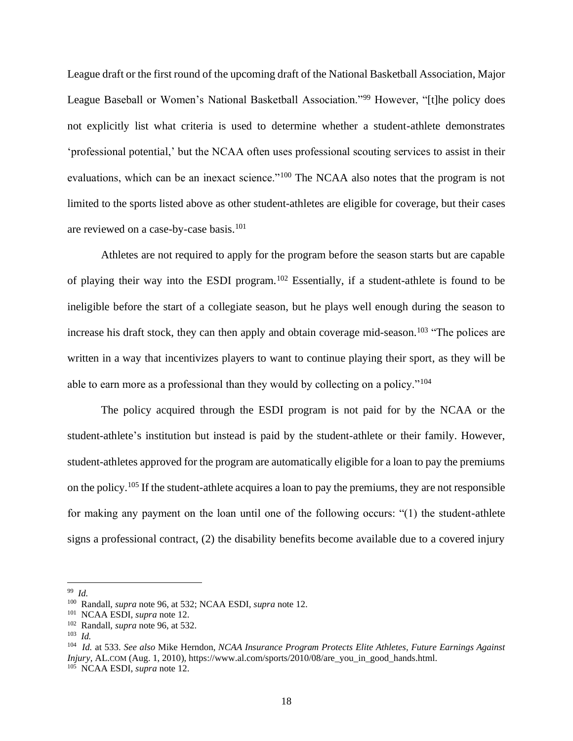League draft or the first round of the upcoming draft of the National Basketball Association, Major League Baseball or Women's National Basketball Association."<sup>99</sup> However, "[t]he policy does not explicitly list what criteria is used to determine whether a student-athlete demonstrates 'professional potential,' but the NCAA often uses professional scouting services to assist in their evaluations, which can be an inexact science."<sup>100</sup> The NCAA also notes that the program is not limited to the sports listed above as other student-athletes are eligible for coverage, but their cases are reviewed on a case-by-case basis.<sup>101</sup>

Athletes are not required to apply for the program before the season starts but are capable of playing their way into the ESDI program.<sup>102</sup> Essentially, if a student-athlete is found to be ineligible before the start of a collegiate season, but he plays well enough during the season to increase his draft stock, they can then apply and obtain coverage mid-season.<sup>103</sup> "The polices are written in a way that incentivizes players to want to continue playing their sport, as they will be able to earn more as a professional than they would by collecting on a policy."<sup>104</sup>

The policy acquired through the ESDI program is not paid for by the NCAA or the student-athlete's institution but instead is paid by the student-athlete or their family. However, student-athletes approved for the program are automatically eligible for a loan to pay the premiums on the policy.<sup>105</sup> If the student-athlete acquires a loan to pay the premiums, they are not responsible for making any payment on the loan until one of the following occurs: "(1) the student-athlete signs a professional contract, (2) the disability benefits become available due to a covered injury

<sup>99</sup> *Id.* 

<sup>100</sup> Randall, *supra* note 96, at 532; NCAA ESDI, *supra* note 12.

<sup>101</sup> NCAA ESDI, *supra* note 12.

<sup>102</sup> Randall, *supra* note 96, at 532.

<sup>103</sup> *Id.* 

<sup>104</sup> *Id.* at 533. *See also* Mike Herndon, *NCAA Insurance Program Protects Elite Athletes, Future Earnings Against Injury*, AL.COM (Aug. 1, 2010), https://www.al.com/sports/2010/08/are\_you\_in\_good\_hands.html. 105 NCAA ESDI, *supra* note 12.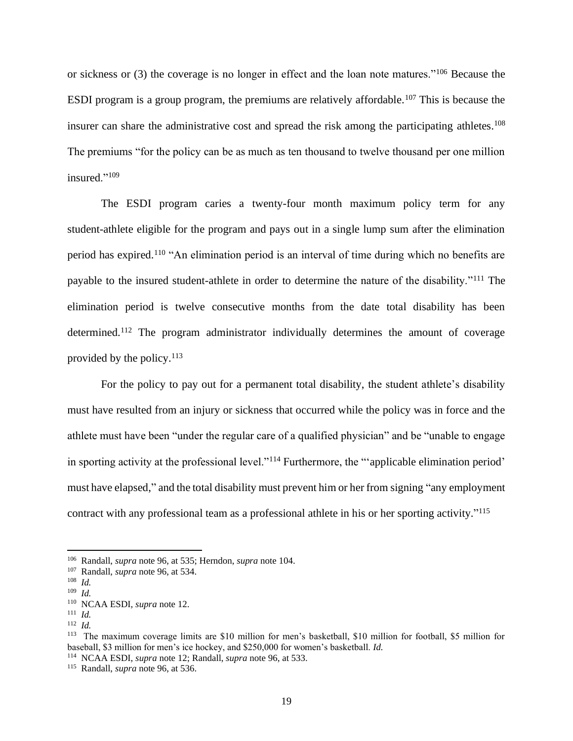or sickness or (3) the coverage is no longer in effect and the loan note matures."<sup>106</sup> Because the ESDI program is a group program, the premiums are relatively affordable.<sup>107</sup> This is because the insurer can share the administrative cost and spread the risk among the participating athletes. 108 The premiums "for the policy can be as much as ten thousand to twelve thousand per one million insured."<sup>109</sup>

The ESDI program caries a twenty-four month maximum policy term for any student-athlete eligible for the program and pays out in a single lump sum after the elimination period has expired.<sup>110</sup> "An elimination period is an interval of time during which no benefits are payable to the insured student-athlete in order to determine the nature of the disability."<sup>111</sup> The elimination period is twelve consecutive months from the date total disability has been determined.<sup>112</sup> The program administrator individually determines the amount of coverage provided by the policy.<sup>113</sup>

For the policy to pay out for a permanent total disability, the student athlete's disability must have resulted from an injury or sickness that occurred while the policy was in force and the athlete must have been "under the regular care of a qualified physician" and be "unable to engage in sporting activity at the professional level."<sup>114</sup> Furthermore, the "'applicable elimination period' must have elapsed," and the total disability must prevent him or her from signing "any employment contract with any professional team as a professional athlete in his or her sporting activity." 115

<sup>106</sup> Randall, *supra* note 96, at 535; Herndon, *supra* note 104.

<sup>107</sup> Randall, *supra* note 96, at 534.

<sup>108</sup> *Id.* 

<sup>109</sup>  *Id.*

<sup>110</sup> NCAA ESDI, *supra* note 12.

<sup>111</sup> *Id.*

<sup>112</sup>  *Id.*

<sup>&</sup>lt;sup>113</sup> The maximum coverage limits are \$10 million for men's basketball, \$10 million for football, \$5 million for baseball, \$3 million for men's ice hockey, and \$250,000 for women's basketball. *Id.*

<sup>114</sup> NCAA ESDI, *supra* note 12; Randall, *supra* note 96, at 533.

<sup>115</sup> Randall, *supra* note 96, at 536.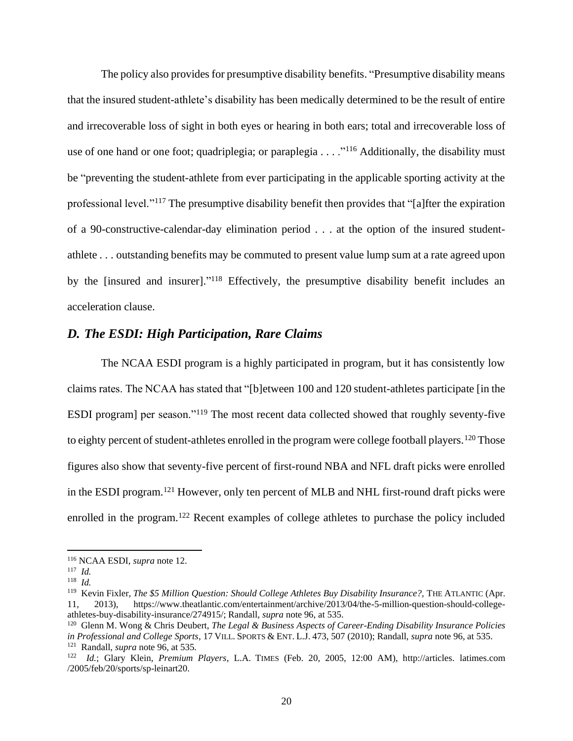The policy also provides for presumptive disability benefits. "Presumptive disability means that the insured student-athlete's disability has been medically determined to be the result of entire and irrecoverable loss of sight in both eyes or hearing in both ears; total and irrecoverable loss of use of one hand or one foot; quadriplegia; or paraplegia . . . ."<sup>116</sup> Additionally, the disability must be "preventing the student-athlete from ever participating in the applicable sporting activity at the professional level."<sup>117</sup> The presumptive disability benefit then provides that "[a]fter the expiration of a 90-constructive-calendar-day elimination period . . . at the option of the insured studentathlete . . . outstanding benefits may be commuted to present value lump sum at a rate agreed upon by the [insured and insurer]."<sup>118</sup> Effectively, the presumptive disability benefit includes an acceleration clause.

### *D. The ESDI: High Participation, Rare Claims*

The NCAA ESDI program is a highly participated in program, but it has consistently low claims rates. The NCAA has stated that "[b]etween 100 and 120 student-athletes participate [in the ESDI program] per season."<sup>119</sup> The most recent data collected showed that roughly seventy-five to eighty percent of student-athletes enrolled in the program were college football players.<sup>120</sup> Those figures also show that seventy-five percent of first-round NBA and NFL draft picks were enrolled in the ESDI program.<sup>121</sup> However, only ten percent of MLB and NHL first-round draft picks were enrolled in the program.<sup>122</sup> Recent examples of college athletes to purchase the policy included

<sup>116</sup> NCAA ESDI, *supra* note 12.

<sup>117</sup> *Id.*

<sup>118</sup> *Id.* 

<sup>&</sup>lt;sup>119</sup> Kevin Fixler, The \$5 Million Question: Should College Athletes Buy Disability Insurance?, THE ATLANTIC (Apr. 11, 2013), https://www.theatlantic.com/entertainment/archive/2013/04/the-5-million-question-should-collegeathletes-buy-disability-insurance/274915/; Randall, *supra* note 96, at 535.

<sup>120</sup> Glenn M. Wong & Chris Deubert, *The Legal & Business Aspects of Career-Ending Disability Insurance Policies in Professional and College Sports*, 17 VILL.SPORTS & ENT. L.J. 473, 507 (2010); Randall, *supra* note 96, at 535. 121 Randall, *supra* note 96, at 535*.*

<sup>122</sup> *Id.*; Glary Klein, *Premium Players*, L.A. TIMES (Feb. 20, 2005, 12:00 AM), http://articles. latimes.com /2005/feb/20/sports/sp-leinart20.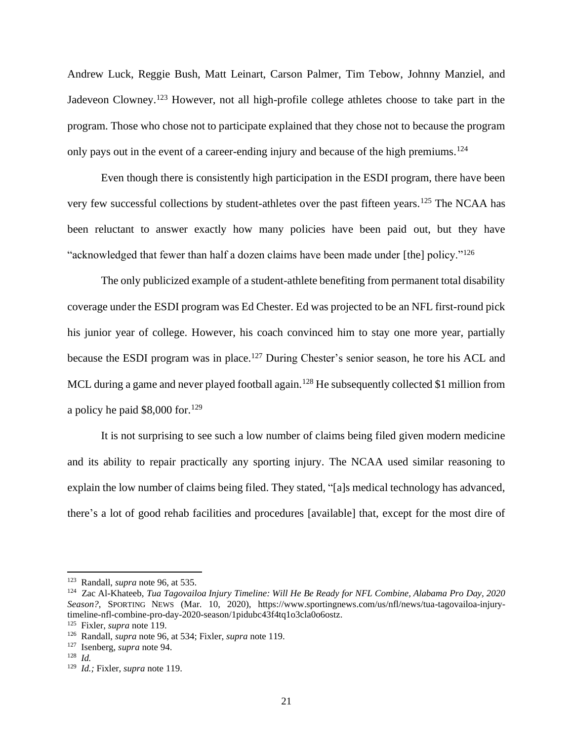Andrew Luck, Reggie Bush, Matt Leinart, Carson Palmer, Tim Tebow, Johnny Manziel, and Jadeveon Clowney.<sup>123</sup> However, not all high-profile college athletes choose to take part in the program. Those who chose not to participate explained that they chose not to because the program only pays out in the event of a career-ending injury and because of the high premiums.<sup>124</sup>

Even though there is consistently high participation in the ESDI program, there have been very few successful collections by student-athletes over the past fifteen years.<sup>125</sup> The NCAA has been reluctant to answer exactly how many policies have been paid out, but they have "acknowledged that fewer than half a dozen claims have been made under [the] policy."<sup>126</sup>

The only publicized example of a student-athlete benefiting from permanent total disability coverage under the ESDI program was Ed Chester. Ed was projected to be an NFL first-round pick his junior year of college. However, his coach convinced him to stay one more year, partially because the ESDI program was in place.<sup>127</sup> During Chester's senior season, he tore his ACL and MCL during a game and never played football again.<sup>128</sup> He subsequently collected \$1 million from a policy he paid  $$8,000$  for.<sup>129</sup>

It is not surprising to see such a low number of claims being filed given modern medicine and its ability to repair practically any sporting injury. The NCAA used similar reasoning to explain the low number of claims being filed. They stated, "[a]s medical technology has advanced, there's a lot of good rehab facilities and procedures [available] that, except for the most dire of

<sup>123</sup> Randall, *supra* note 96, at 535.

<sup>124</sup> Zac Al-Khateeb, *Tua Tagovailoa Injury Timeline: Will He Be Ready for NFL Combine, Alabama Pro Day, 2020 Season?*, SPORTING NEWS (Mar. 10, 2020), https://www.sportingnews.com/us/nfl/news/tua-tagovailoa-injurytimeline-nfl-combine-pro-day-2020-season/1pidubc43f4tq1o3cla0o6ostz.

<sup>125</sup> Fixler, *supra* note 119.

<sup>126</sup> Randall, *supra* note 96, at 534; Fixler, *supra* note 119.

<sup>127</sup> Isenberg, *supra* note 94.

<sup>128</sup> *Id.* 

<sup>129</sup> *Id.;* Fixler, *supra* note 119.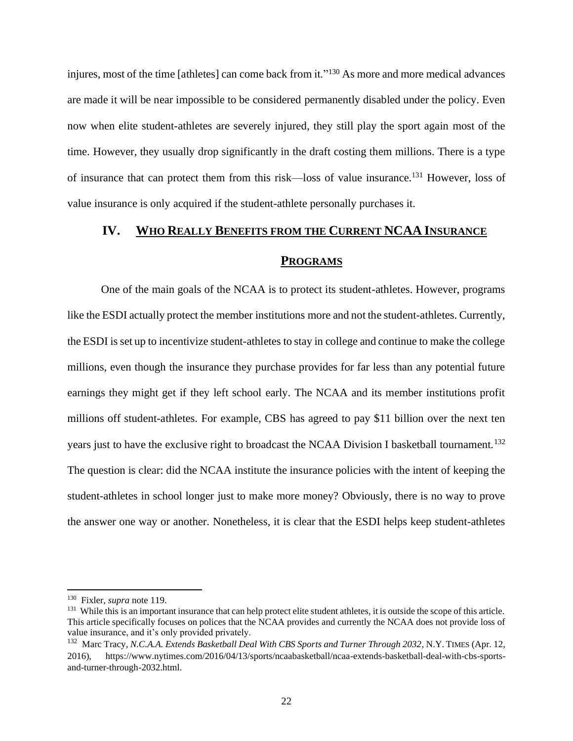injures, most of the time [athletes] can come back from it."<sup>130</sup> As more and more medical advances are made it will be near impossible to be considered permanently disabled under the policy. Even now when elite student-athletes are severely injured, they still play the sport again most of the time. However, they usually drop significantly in the draft costing them millions. There is a type of insurance that can protect them from this risk—loss of value insurance.<sup>131</sup> However, loss of value insurance is only acquired if the student-athlete personally purchases it.

# **IV. WHO REALLY BENEFITS FROM THE CURRENT NCAA INSURANCE**

#### **PROGRAMS**

One of the main goals of the NCAA is to protect its student-athletes. However, programs like the ESDI actually protect the member institutions more and not the student-athletes. Currently, the ESDI is set up to incentivize student-athletes to stay in college and continue to make the college millions, even though the insurance they purchase provides for far less than any potential future earnings they might get if they left school early. The NCAA and its member institutions profit millions off student-athletes. For example, CBS has agreed to pay \$11 billion over the next ten years just to have the exclusive right to broadcast the NCAA Division I basketball tournament.<sup>132</sup> The question is clear: did the NCAA institute the insurance policies with the intent of keeping the student-athletes in school longer just to make more money? Obviously, there is no way to prove the answer one way or another. Nonetheless, it is clear that the ESDI helps keep student-athletes

<sup>130</sup> Fixler*, supra* note 119.

<sup>&</sup>lt;sup>131</sup> While this is an important insurance that can help protect elite student athletes, it is outside the scope of this article. This article specifically focuses on polices that the NCAA provides and currently the NCAA does not provide loss of value insurance, and it's only provided privately.

<sup>&</sup>lt;sup>132</sup> Marc Tracy, *N.C.A.A. Extends Basketball Deal With CBS Sports and Turner Through 2032*, N.Y. TIMES (Apr. 12, 2016), https://www.nytimes.com/2016/04/13/sports/ncaabasketball/ncaa-extends-basketball-deal-with-cbs-sportsand-turner-through-2032.html.